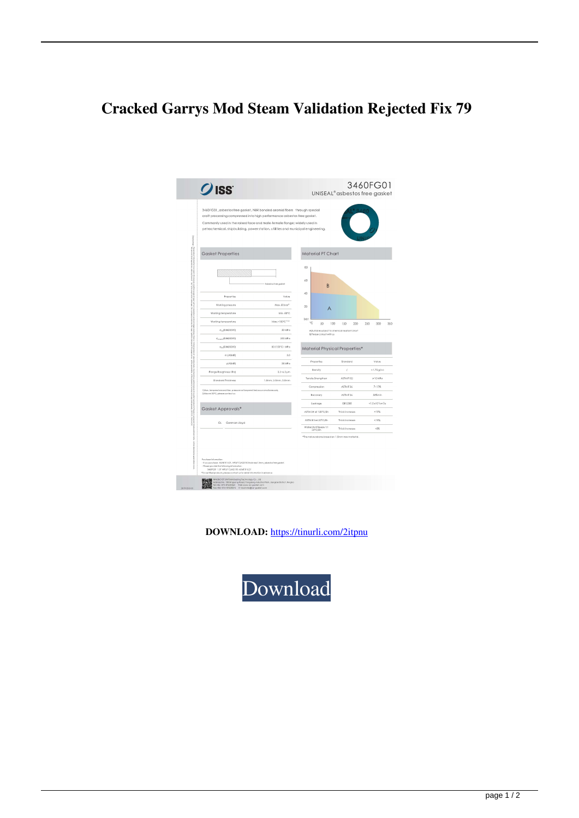## **Cracked Garrys Mod Steam Validation Rejected Fix 79**

| $O$ ISS                                                                                                                                                                                                                                                                                                           | 3460FG01<br>UNISEAL <sup>®</sup> asbestos free gasket                |
|-------------------------------------------------------------------------------------------------------------------------------------------------------------------------------------------------------------------------------------------------------------------------------------------------------------------|----------------------------------------------------------------------|
| 3460FG01_asbestos free gasket, NBR bonded aramid fibers through special<br>craft processing compressed into high performance asbestos free gasket.<br>Commonly used in the raised face and male-female flange; widely used in<br>petrochemical, shipbuilding, power station, utilities and municipal engineering. |                                                                      |
| <b>Gasket Properties</b>                                                                                                                                                                                                                                                                                          | Material PT Chart                                                    |
| Asbastos free goskel                                                                                                                                                                                                                                                                                              | 80<br>60<br>B                                                        |
| Properties<br>Value                                                                                                                                                                                                                                                                                               | 40                                                                   |
| Working pressure<br>Max, 50 b or"                                                                                                                                                                                                                                                                                 | 20                                                                   |
| Min.-50°C<br>Working temperature                                                                                                                                                                                                                                                                                  | А                                                                    |
| Max.+150°C. <sup>1-24</sup><br>Working temperature                                                                                                                                                                                                                                                                | bor<br>٩Ċ<br>50<br>100<br>250<br>330<br>150<br>200                   |
| $G_{\text{cc}}({\bf D}){\bf N}1{\bf 2}{\bf 2}{\bf 0}{\bf 9}{\bf 0}$<br>50 MP or                                                                                                                                                                                                                                   | A) Suitable subject to chemical resistant chart                      |
| $\sigma_{source}$ (DIN28090)<br>200 MP of                                                                                                                                                                                                                                                                         | B)Please consult with us                                             |
| 80 (150°C) MPo<br>$\sigma_{\rm sol}({\rm DIN28090})$                                                                                                                                                                                                                                                              | Material Physical Properties*                                        |
| m (ASME)<br>3.0                                                                                                                                                                                                                                                                                                   |                                                                      |
| y(ASME)<br>35 MP o                                                                                                                                                                                                                                                                                                | Strandard<br>Volas<br>Properties                                     |
| $3.2 - 6.3 \,\mu m$<br>Flange Roughness (Roll                                                                                                                                                                                                                                                                     | Density<br>$~1.75$ g/cc<br>Î.                                        |
| 1.5mm. 2.0mm. 3.0mm<br>Standard Thickness                                                                                                                                                                                                                                                                         | Tenzie Strengthen<br>ASTM #152<br>$\geq 10$ MPm                      |
| 1) Max, temperature and Max, pressure not be permitted accursing taneously.<br>2) Aboval S0°C, plaasa confect us                                                                                                                                                                                                  | $7 - 17%$<br>ASTM F.36<br>Compression                                |
|                                                                                                                                                                                                                                                                                                                   | 50%min<br>ASTM F36<br>Recovery                                       |
|                                                                                                                                                                                                                                                                                                                   | GB12385<br>Legione<br><1.0 x10 "cm"/a                                |
| Gasket Approvals*                                                                                                                                                                                                                                                                                                 | ASTM 3# oil 150°C/3b<br><10%<br>Thick increase                       |
| German Lloyd<br>GL                                                                                                                                                                                                                                                                                                | ASTM B for 23°C/5h<br><10%<br>Thick increase                         |
|                                                                                                                                                                                                                                                                                                                   | Water/Antifreeze 1:1<br>$-5%$<br>Thick increase<br>$23^{\circ}$ C/Sh |
| Patchcon Information<br>If you purchase: ASME 8.1 6.21, NPSP CLASSI 90, thickness! .Smm, adbestos free gasket.<br>Please provide the following information                                                                                                                                                        | *The value above based on 1.5mm raw material.                        |

**DOWNLOAD:** <https://tinurli.com/2itpnu>